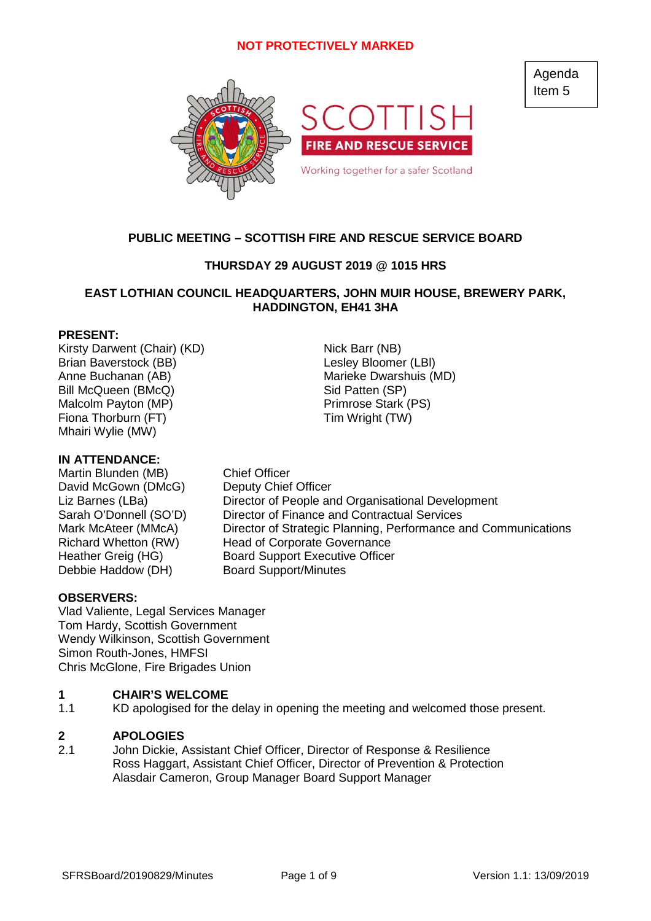

# **PUBLIC MEETING – SCOTTISH FIRE AND RESCUE SERVICE BOARD**

# **THURSDAY 29 AUGUST 2019 @ 1015 HRS**

# **EAST LOTHIAN COUNCIL HEADQUARTERS, JOHN MUIR HOUSE, BREWERY PARK, HADDINGTON, EH41 3HA**

# **PRESENT:**

Kirsty Darwent (Chair) (KD) Nick Barr (NB) Brian Baverstock (BB) and the control of the Lesley Bloomer (LBI) Anne Buchanan (AB) Marieke Dwarshuis (MD) Bill McQueen (BMcQ) Sid Patten (SP) Malcolm Payton (MP) Primrose Stark (PS) Fiona Thorburn (FT) Tim Wright (TW) Mhairi Wylie (MW)

# **IN ATTENDANCE:**

Martin Blunden (MB) Chief Officer David McGown (DMcG) Deputy Chief Officer Debbie Haddow (DH) Board Support/Minutes

Liz Barnes (LBa) Director of People and Organisational Development<br>Sarah O'Donnell (SO'D) Director of Finance and Contractual Services Director of Finance and Contractual Services Mark McAteer (MMcA) Director of Strategic Planning, Performance and Communications Richard Whetton (RW) Head of Corporate Governance Heather Greig (HG) Board Support Executive Officer

### **OBSERVERS:**

Vlad Valiente, Legal Services Manager Tom Hardy, Scottish Government Wendy Wilkinson, Scottish Government Simon Routh-Jones, HMFSI Chris McGlone, Fire Brigades Union

#### **1 CHAIR'S WELCOME**

1.1 KD apologised for the delay in opening the meeting and welcomed those present.

#### **2 APOLOGIES**

2.1 John Dickie, Assistant Chief Officer, Director of Response & Resilience Ross Haggart, Assistant Chief Officer, Director of Prevention & Protection Alasdair Cameron, Group Manager Board Support Manager

Agenda Item 5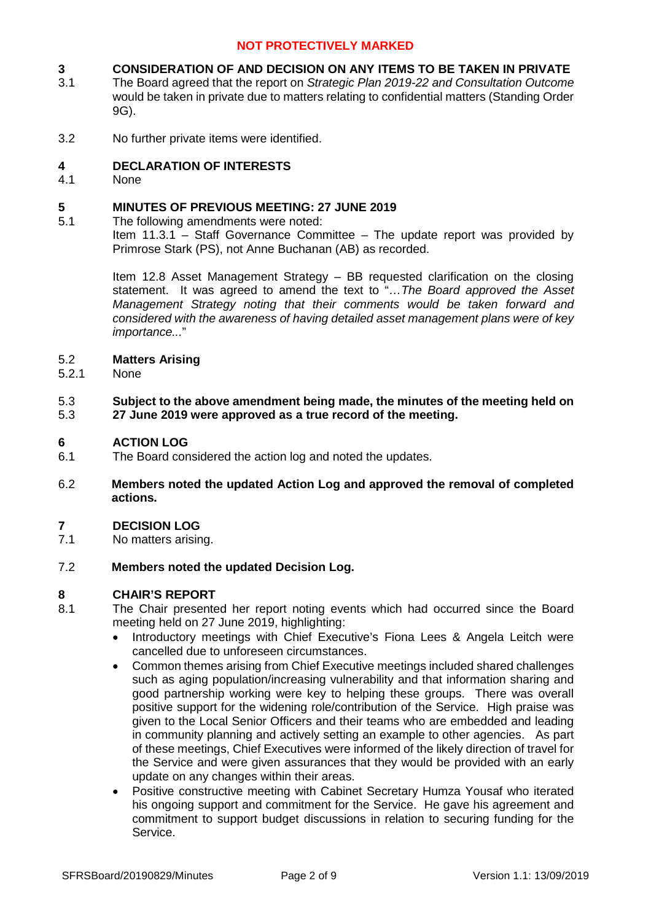#### **3 CONSIDERATION OF AND DECISION ON ANY ITEMS TO BE TAKEN IN PRIVATE**

- 3.1 The Board agreed that the report on *Strategic Plan 2019-22 and Consultation Outcome* would be taken in private due to matters relating to confidential matters (Standing Order 9G).
- 3.2 No further private items were identified.

### **4 DECLARATION OF INTERESTS**

4.1 None

#### **5 MINUTES OF PREVIOUS MEETING: 27 JUNE 2019**

5.1 The following amendments were noted:

> Item 11.3.1 – Staff Governance Committee – The update report was provided by Primrose Stark (PS), not Anne Buchanan (AB) as recorded.

> Item 12.8 Asset Management Strategy – BB requested clarification on the closing statement. It was agreed to amend the text to "*…The Board approved the Asset Management Strategy noting that their comments would be taken forward and considered with the awareness of having detailed asset management plans were of key importance...*"

#### 5.2 **Matters Arising**

5.2.1 None

### 5.3 5.3 **Subject to the above amendment being made, the minutes of the meeting held on 27 June 2019 were approved as a true record of the meeting.**

#### **6 ACTION LOG**

- 6.1 The Board considered the action log and noted the updates.
- 6.2 **Members noted the updated Action Log and approved the removal of completed actions.**

#### **7 DECISION LOG**

7.1 No matters arising.

#### 7.2 **Members noted the updated Decision Log.**

### **8 CHAIR'S REPORT**

- 8.1 The Chair presented her report noting events which had occurred since the Board meeting held on 27 June 2019, highlighting:
	- Introductory meetings with Chief Executive's Fiona Lees & Angela Leitch were cancelled due to unforeseen circumstances.
	- Common themes arising from Chief Executive meetings included shared challenges such as aging population/increasing vulnerability and that information sharing and good partnership working were key to helping these groups. There was overall positive support for the widening role/contribution of the Service. High praise was given to the Local Senior Officers and their teams who are embedded and leading in community planning and actively setting an example to other agencies. As part of these meetings, Chief Executives were informed of the likely direction of travel for the Service and were given assurances that they would be provided with an early update on any changes within their areas.
	- Positive constructive meeting with Cabinet Secretary Humza Yousaf who iterated his ongoing support and commitment for the Service. He gave his agreement and commitment to support budget discussions in relation to securing funding for the Service.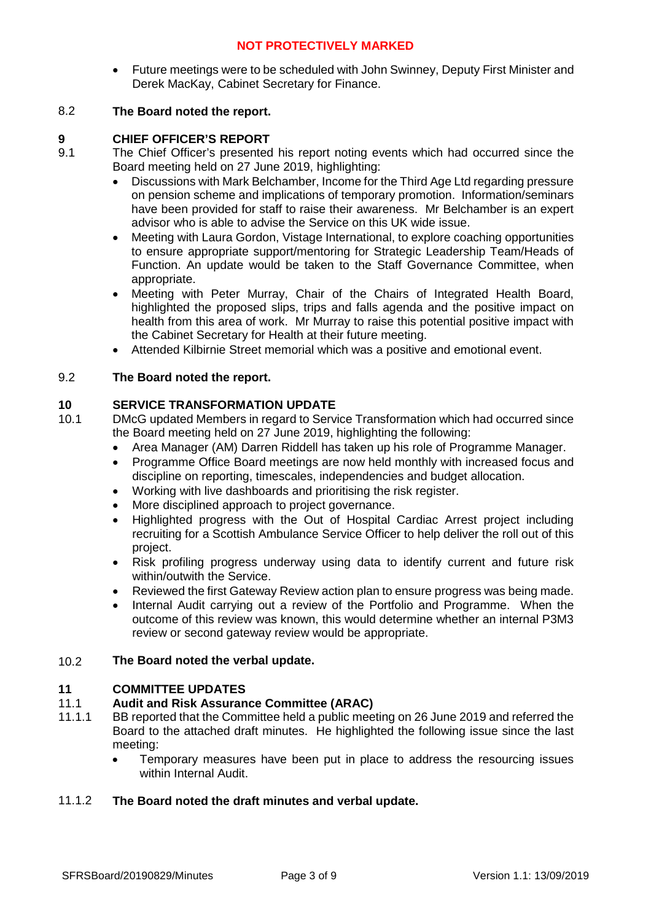Future meetings were to be scheduled with John Swinney, Deputy First Minister and Derek MacKay, Cabinet Secretary for Finance.

### 8.2 **The Board noted the report.**

## **9 CHIEF OFFICER'S REPORT**

- 9.1 The Chief Officer's presented his report noting events which had occurred since the Board meeting held on 27 June 2019, highlighting:
	- Discussions with Mark Belchamber, Income for the Third Age Ltd regarding pressure on pension scheme and implications of temporary promotion. Information/seminars have been provided for staff to raise their awareness. Mr Belchamber is an expert advisor who is able to advise the Service on this UK wide issue.
	- Meeting with Laura Gordon, Vistage International, to explore coaching opportunities to ensure appropriate support/mentoring for Strategic Leadership Team/Heads of Function. An update would be taken to the Staff Governance Committee, when appropriate.
	- Meeting with Peter Murray, Chair of the Chairs of Integrated Health Board, highlighted the proposed slips, trips and falls agenda and the positive impact on health from this area of work. Mr Murray to raise this potential positive impact with the Cabinet Secretary for Health at their future meeting.
	- Attended Kilbirnie Street memorial which was a positive and emotional event.

## 9.2 **The Board noted the report.**

## **10 SERVICE TRANSFORMATION UPDATE**

- 10.1 DMcG updated Members in regard to Service Transformation which had occurred since the Board meeting held on 27 June 2019, highlighting the following:
	- Area Manager (AM) Darren Riddell has taken up his role of Programme Manager.
	- Programme Office Board meetings are now held monthly with increased focus and discipline on reporting, timescales, independencies and budget allocation.
	- Working with live dashboards and prioritising the risk register.
	- More disciplined approach to project governance.
	- Highlighted progress with the Out of Hospital Cardiac Arrest project including recruiting for a Scottish Ambulance Service Officer to help deliver the roll out of this project.
	- Risk profiling progress underway using data to identify current and future risk within/outwith the Service.
	- Reviewed the first Gateway Review action plan to ensure progress was being made.
	- Internal Audit carrying out a review of the Portfolio and Programme. When the outcome of this review was known, this would determine whether an internal P3M3 review or second gateway review would be appropriate.

#### 10.2 **The Board noted the verbal update.**

### **11 COMMITTEE UPDATES**

#### 11.1 **Audit and Risk Assurance Committee (ARAC)**

- 11.1.1 BB reported that the Committee held a public meeting on 26 June 2019 and referred the Board to the attached draft minutes. He highlighted the following issue since the last meeting:
	- Temporary measures have been put in place to address the resourcing issues within Internal Audit.

### 11.1.2 **The Board noted the draft minutes and verbal update.**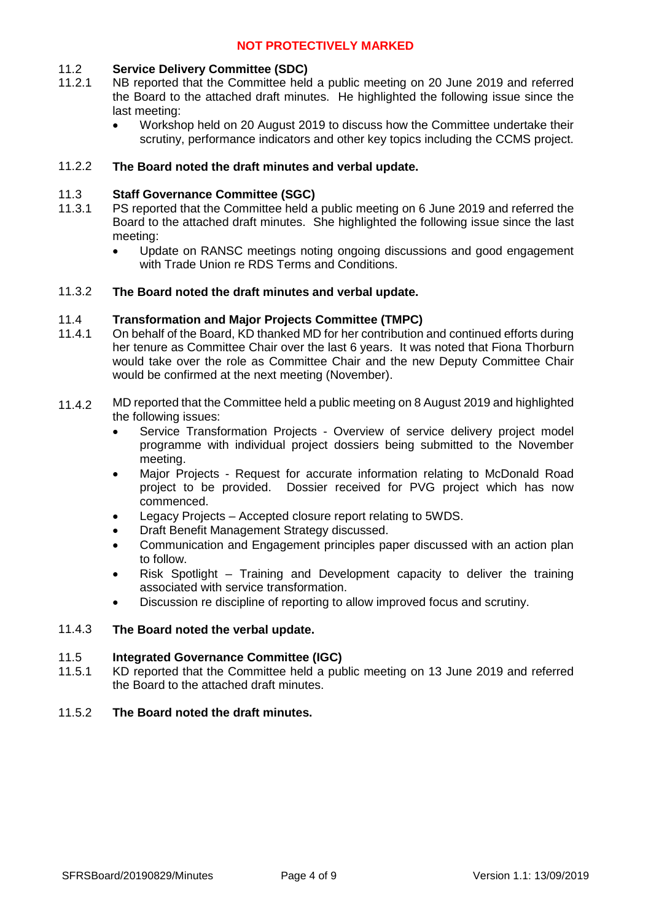#### 11.2 **Service Delivery Committee (SDC)**

- 11.2.1 NB reported that the Committee held a public meeting on 20 June 2019 and referred the Board to the attached draft minutes. He highlighted the following issue since the last meeting:
	- Workshop held on 20 August 2019 to discuss how the Committee undertake their scrutiny, performance indicators and other key topics including the CCMS project.

### 11.2.2 **The Board noted the draft minutes and verbal update.**

#### 11.3 **Staff Governance Committee (SGC)**

- 11.3.1 PS reported that the Committee held a public meeting on 6 June 2019 and referred the Board to the attached draft minutes. She highlighted the following issue since the last meeting:
	- Update on RANSC meetings noting ongoing discussions and good engagement with Trade Union re RDS Terms and Conditions.

#### 11.3.2 **The Board noted the draft minutes and verbal update.**

#### 11.4 **Transformation and Major Projects Committee (TMPC)**

- 11.4.1 On behalf of the Board, KD thanked MD for her contribution and continued efforts during her tenure as Committee Chair over the last 6 years. It was noted that Fiona Thorburn would take over the role as Committee Chair and the new Deputy Committee Chair would be confirmed at the next meeting (November).
- 11.4.2 MD reported that the Committee held a public meeting on 8 August 2019 and highlighted the following issues:
	- Service Transformation Projects Overview of service delivery project model programme with individual project dossiers being submitted to the November meeting.
	- Major Projects Request for accurate information relating to McDonald Road project to be provided. Dossier received for PVG project which has now commenced.
	- Legacy Projects Accepted closure report relating to 5WDS.
	- Draft Benefit Management Strategy discussed.
	- Communication and Engagement principles paper discussed with an action plan to follow.
	- Risk Spotlight Training and Development capacity to deliver the training associated with service transformation.
	- Discussion re discipline of reporting to allow improved focus and scrutiny.

### 11.4.3 **The Board noted the verbal update.**

#### 11.5 **Integrated Governance Committee (IGC)**

11.5.1 KD reported that the Committee held a public meeting on 13 June 2019 and referred the Board to the attached draft minutes.

### 11.5.2 **The Board noted the draft minutes.**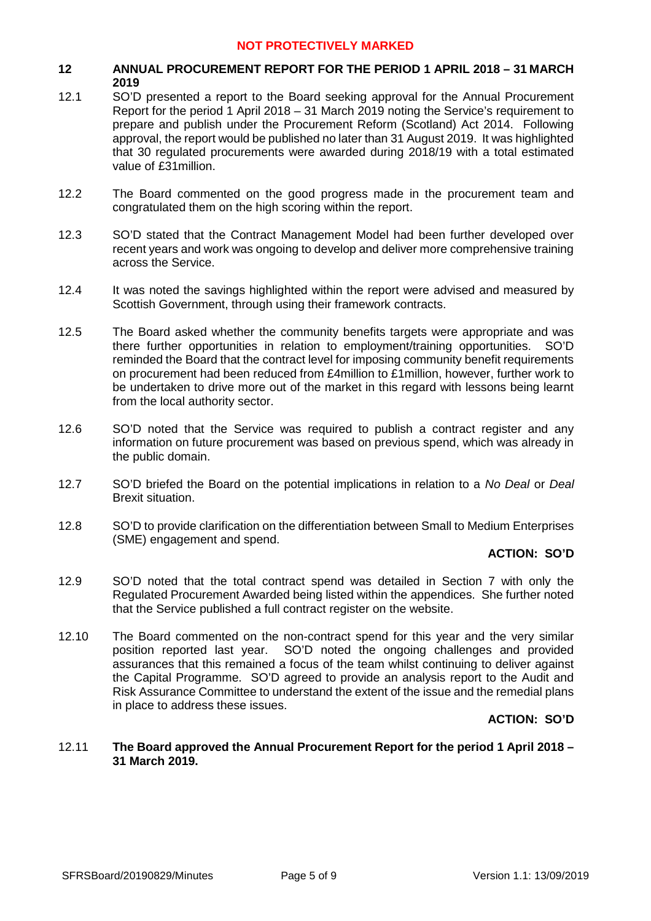## **12 ANNUAL PROCUREMENT REPORT FOR THE PERIOD 1 APRIL 2018 – 31 MARCH 2019**

- 12.1 SO'D presented a report to the Board seeking approval for the Annual Procurement Report for the period 1 April 2018 – 31 March 2019 noting the Service's requirement to prepare and publish under the Procurement Reform (Scotland) Act 2014. Following approval, the report would be published no later than 31 August 2019. It was highlighted that 30 regulated procurements were awarded during 2018/19 with a total estimated value of £31million.
- 12.2 The Board commented on the good progress made in the procurement team and congratulated them on the high scoring within the report.
- 12.3 SO'D stated that the Contract Management Model had been further developed over recent years and work was ongoing to develop and deliver more comprehensive training across the Service.
- 12.4 It was noted the savings highlighted within the report were advised and measured by Scottish Government, through using their framework contracts.
- 12.5 The Board asked whether the community benefits targets were appropriate and was there further opportunities in relation to employment/training opportunities. SO'D reminded the Board that the contract level for imposing community benefit requirements on procurement had been reduced from £4million to £1million, however, further work to be undertaken to drive more out of the market in this regard with lessons being learnt from the local authority sector.
- 12.6 SO'D noted that the Service was required to publish a contract register and any information on future procurement was based on previous spend, which was already in the public domain.
- 12.7 SO'D briefed the Board on the potential implications in relation to a *No Deal* or *Deal* Brexit situation.
- 12.8 SO'D to provide clarification on the differentiation between Small to Medium Enterprises (SME) engagement and spend.

### **ACTION: SO'D**

- 12.9 SO'D noted that the total contract spend was detailed in Section 7 with only the Regulated Procurement Awarded being listed within the appendices. She further noted that the Service published a full contract register on the website.
- 12.10 The Board commented on the non-contract spend for this year and the very similar position reported last year. SO'D noted the ongoing challenges and provided assurances that this remained a focus of the team whilst continuing to deliver against the Capital Programme. SO'D agreed to provide an analysis report to the Audit and Risk Assurance Committee to understand the extent of the issue and the remedial plans in place to address these issues.

### **ACTION: SO'D**

### 12.11 **The Board approved the Annual Procurement Report for the period 1 April 2018 – 31 March 2019.**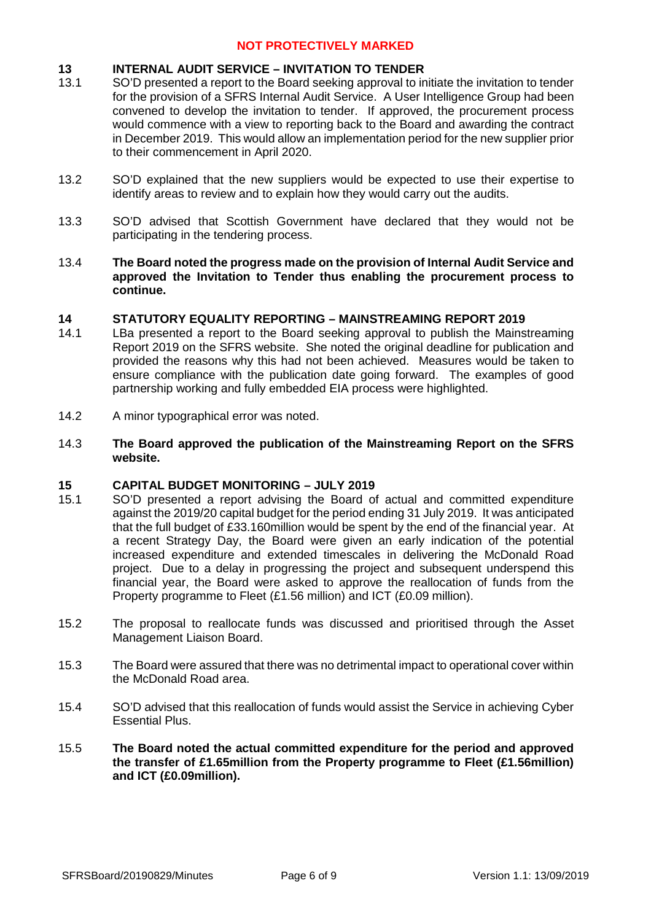### **13 INTERNAL AUDIT SERVICE – INVITATION TO TENDER**

- 13.1 SO'D presented a report to the Board seeking approval to initiate the invitation to tender for the provision of a SFRS Internal Audit Service. A User Intelligence Group had been convened to develop the invitation to tender. If approved, the procurement process would commence with a view to reporting back to the Board and awarding the contract in December 2019. This would allow an implementation period for the new supplier prior to their commencement in April 2020.
- 13.2 SO'D explained that the new suppliers would be expected to use their expertise to identify areas to review and to explain how they would carry out the audits.
- 13.3 SO'D advised that Scottish Government have declared that they would not be participating in the tendering process.
- 13.4 **The Board noted the progress made on the provision of Internal Audit Service and approved the Invitation to Tender thus enabling the procurement process to continue.**

## **14 STATUTORY EQUALITY REPORTING – MAINSTREAMING REPORT 2019**

- 14.1 LBa presented a report to the Board seeking approval to publish the Mainstreaming Report 2019 on the SFRS website. She noted the original deadline for publication and provided the reasons why this had not been achieved. Measures would be taken to ensure compliance with the publication date going forward. The examples of good partnership working and fully embedded EIA process were highlighted.
- 14.2 A minor typographical error was noted.
- 14.3 **The Board approved the publication of the Mainstreaming Report on the SFRS website.**

### **15 CAPITAL BUDGET MONITORING – JULY 2019**

- 15.1 SO'D presented a report advising the Board of actual and committed expenditure against the 2019/20 capital budget for the period ending 31 July 2019. It was anticipated that the full budget of £33.160million would be spent by the end of the financial year. At a recent Strategy Day, the Board were given an early indication of the potential increased expenditure and extended timescales in delivering the McDonald Road project. Due to a delay in progressing the project and subsequent underspend this financial year, the Board were asked to approve the reallocation of funds from the Property programme to Fleet (£1.56 million) and ICT (£0.09 million).
- 15.2 The proposal to reallocate funds was discussed and prioritised through the Asset Management Liaison Board.
- 15.3 The Board were assured that there was no detrimental impact to operational cover within the McDonald Road area.
- 15.4 SO'D advised that this reallocation of funds would assist the Service in achieving Cyber Essential Plus.
- 15.5 **The Board noted the actual committed expenditure for the period and approved the transfer of £1.65million from the Property programme to Fleet (£1.56million) and ICT (£0.09million).**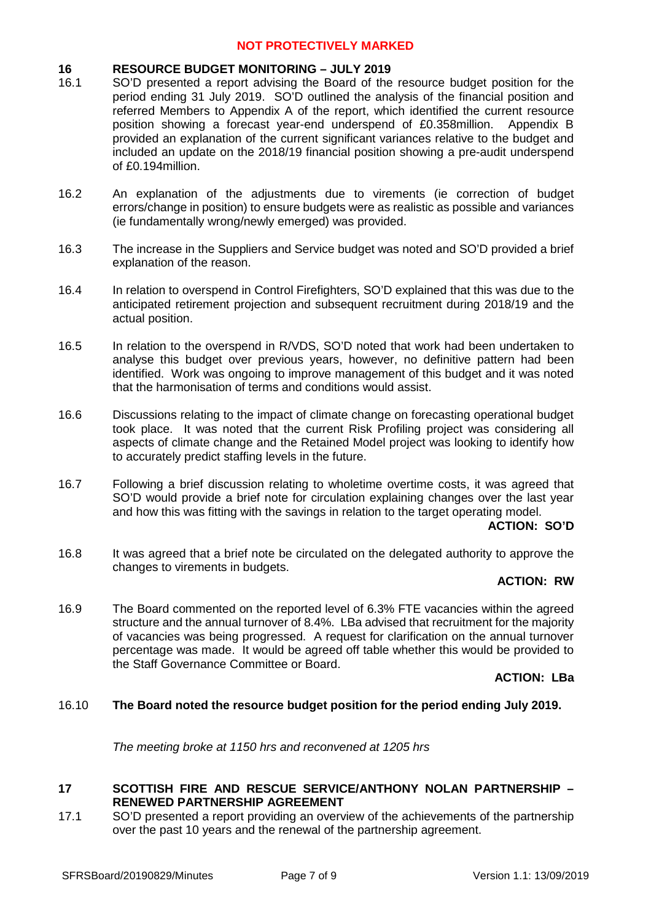### **16 RESOURCE BUDGET MONITORING – JULY 2019**

- 16.1 SO'D presented a report advising the Board of the resource budget position for the period ending 31 July 2019. SO'D outlined the analysis of the financial position and referred Members to Appendix A of the report, which identified the current resource position showing a forecast year-end underspend of £0.358million. Appendix B provided an explanation of the current significant variances relative to the budget and included an update on the 2018/19 financial position showing a pre-audit underspend of £0.194million.
- 16.2 An explanation of the adjustments due to virements (ie correction of budget errors/change in position) to ensure budgets were as realistic as possible and variances (ie fundamentally wrong/newly emerged) was provided.
- 16.3 The increase in the Suppliers and Service budget was noted and SO'D provided a brief explanation of the reason.
- 16.4 In relation to overspend in Control Firefighters, SO'D explained that this was due to the anticipated retirement projection and subsequent recruitment during 2018/19 and the actual position.
- 16.5 In relation to the overspend in R/VDS, SO'D noted that work had been undertaken to analyse this budget over previous years, however, no definitive pattern had been identified. Work was ongoing to improve management of this budget and it was noted that the harmonisation of terms and conditions would assist.
- 16.6 Discussions relating to the impact of climate change on forecasting operational budget took place. It was noted that the current Risk Profiling project was considering all aspects of climate change and the Retained Model project was looking to identify how to accurately predict staffing levels in the future.
- 16.7 Following a brief discussion relating to wholetime overtime costs, it was agreed that SO'D would provide a brief note for circulation explaining changes over the last year and how this was fitting with the savings in relation to the target operating model.

### **ACTION: SO'D**

16.8 It was agreed that a brief note be circulated on the delegated authority to approve the changes to virements in budgets.

### **ACTION: RW**

16.9 The Board commented on the reported level of 6.3% FTE vacancies within the agreed structure and the annual turnover of 8.4%. LBa advised that recruitment for the majority of vacancies was being progressed. A request for clarification on the annual turnover percentage was made. It would be agreed off table whether this would be provided to the Staff Governance Committee or Board.

### **ACTION: LBa**

### 16.10 **The Board noted the resource budget position for the period ending July 2019.**

*The meeting broke at 1150 hrs and reconvened at 1205 hrs*

## **17 SCOTTISH FIRE AND RESCUE SERVICE/ANTHONY NOLAN PARTNERSHIP – RENEWED PARTNERSHIP AGREEMENT**

17.1 SO'D presented a report providing an overview of the achievements of the partnership over the past 10 years and the renewal of the partnership agreement.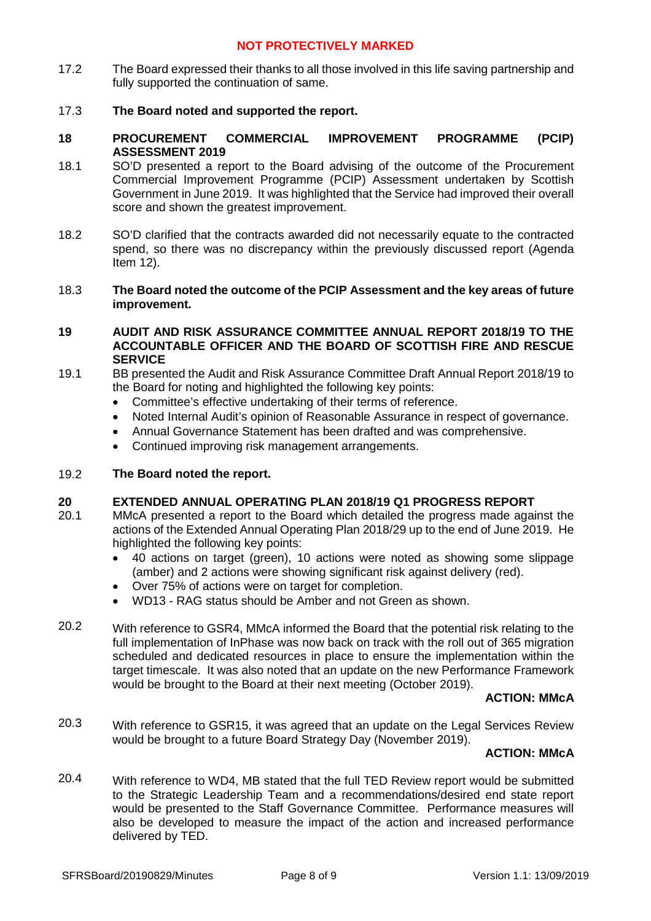17.2 The Board expressed their thanks to all those involved in this life saving partnership and fully supported the continuation of same.

### 17.3 **The Board noted and supported the report.**

- **18 PROCUREMENT COMMERCIAL IMPROVEMENT PROGRAMME (PCIP) ASSESSMENT 2019**
- 18.1 SO'D presented a report to the Board advising of the outcome of the Procurement Commercial Improvement Programme (PCIP) Assessment undertaken by Scottish Government in June 2019. It was highlighted that the Service had improved their overall score and shown the greatest improvement.
- 18.2 SO'D clarified that the contracts awarded did not necessarily equate to the contracted spend, so there was no discrepancy within the previously discussed report (Agenda Item 12).

### 18.3 **The Board noted the outcome of the PCIP Assessment and the key areas of future improvement.**

### **19 AUDIT AND RISK ASSURANCE COMMITTEE ANNUAL REPORT 2018/19 TO THE ACCOUNTABLE OFFICER AND THE BOARD OF SCOTTISH FIRE AND RESCUE SERVICE**

- 19.1 BB presented the Audit and Risk Assurance Committee Draft Annual Report 2018/19 to the Board for noting and highlighted the following key points:
	- Committee's effective undertaking of their terms of reference.
	- Noted Internal Audit's opinion of Reasonable Assurance in respect of governance.
	- Annual Governance Statement has been drafted and was comprehensive.
	- Continued improving risk management arrangements.

#### 19.2 **The Board noted the report.**

### **20 EXTENDED ANNUAL OPERATING PLAN 2018/19 Q1 PROGRESS REPORT**

- 20.1 MMcA presented a report to the Board which detailed the progress made against the actions of the Extended Annual Operating Plan 2018/29 up to the end of June 2019. He highlighted the following key points:
	- 40 actions on target (green), 10 actions were noted as showing some slippage (amber) and 2 actions were showing significant risk against delivery (red).
	- Over 75% of actions were on target for completion.
	- WD13 RAG status should be Amber and not Green as shown.
- 20.2 With reference to GSR4, MMcA informed the Board that the potential risk relating to the full implementation of InPhase was now back on track with the roll out of 365 migration scheduled and dedicated resources in place to ensure the implementation within the target timescale. It was also noted that an update on the new Performance Framework would be brought to the Board at their next meeting (October 2019).

### **ACTION: MMcA**

20.3 With reference to GSR15, it was agreed that an update on the Legal Services Review would be brought to a future Board Strategy Day (November 2019).

# **ACTION: MMcA**

20.4 With reference to WD4, MB stated that the full TED Review report would be submitted to the Strategic Leadership Team and a recommendations/desired end state report would be presented to the Staff Governance Committee. Performance measures will also be developed to measure the impact of the action and increased performance delivered by TED.